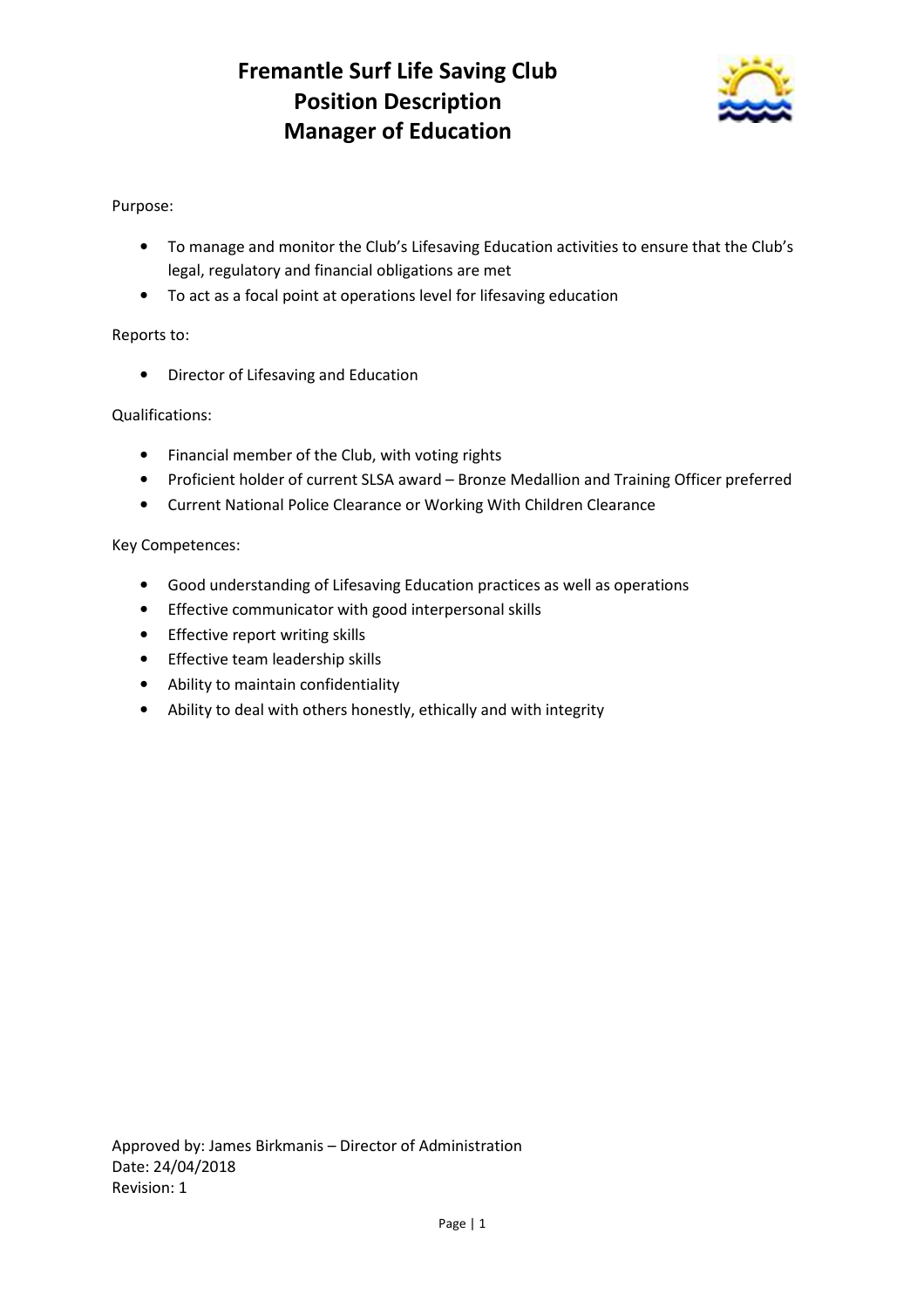# **Fremantle Surf Life Saving Club Position Description Manager of Education**



# Purpose:

- To manage and monitor the Club's Lifesaving Education activities to ensure that the Club's legal, regulatory and financial obligations are met
- To act as a focal point at operations level for lifesaving education

## Reports to:

• Director of Lifesaving and Education

### Qualifications:

- Financial member of the Club, with voting rights
- Proficient holder of current SLSA award Bronze Medallion and Training Officer preferred
- Current National Police Clearance or Working With Children Clearance

### Key Competences:

- Good understanding of Lifesaving Education practices as well as operations
- Effective communicator with good interpersonal skills
- Effective report writing skills
- Effective team leadership skills
- Ability to maintain confidentiality
- Ability to deal with others honestly, ethically and with integrity